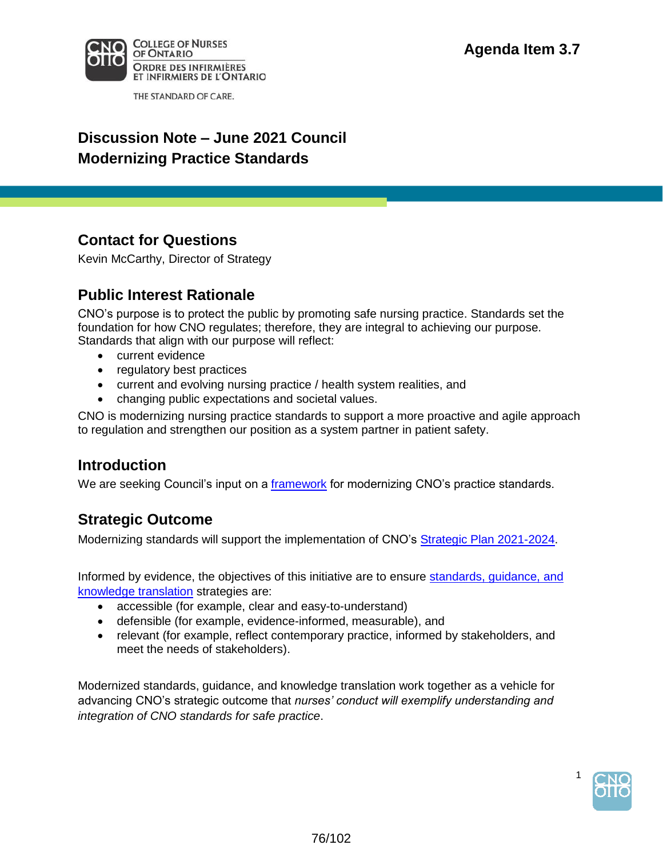

THE STANDARD OF CARE.

# **Discussion Note – June 2021 Council Modernizing Practice Standards**

### **Contact for Questions**

Kevin McCarthy, Director of Strategy

# **Public Interest Rationale**

CNO's purpose is to protect the public by promoting safe nursing practice. Standards set the foundation for how CNO regulates; therefore, they are integral to achieving our purpose. Standards that align with our purpose will reflect:

- current evidence
- regulatory best practices
- current and evolving nursing practice / health system realities, and
- changing public expectations and societal values.

CNO is modernizing nursing practice standards to support a more proactive and agile approach to regulation and strengthen our position as a system partner in patient safety.

#### **Introduction**

We are seeking Council's input on a framework for modernizing CNO's practice standards.

#### **Strategic Outcome**

Modernizing standards will support the implementation of CNO's Strategic Plan 2021-2024.

Informed by evidence, the objectives of this initiative are to ensure standards, guidance, and knowledge translation strategies are:

- accessible (for example, clear and easy-to-understand)
- defensible (for example, evidence-informed, measurable), and
- relevant (for example, reflect contemporary practice, informed by stakeholders, and meet the needs of stakeholders).

Modernized standards, guidance, and knowledge translation work together as a vehicle for advancing CNO's strategic outcome that *nurses' conduct will exemplify understanding and integration of CNO standards for safe practice*.



1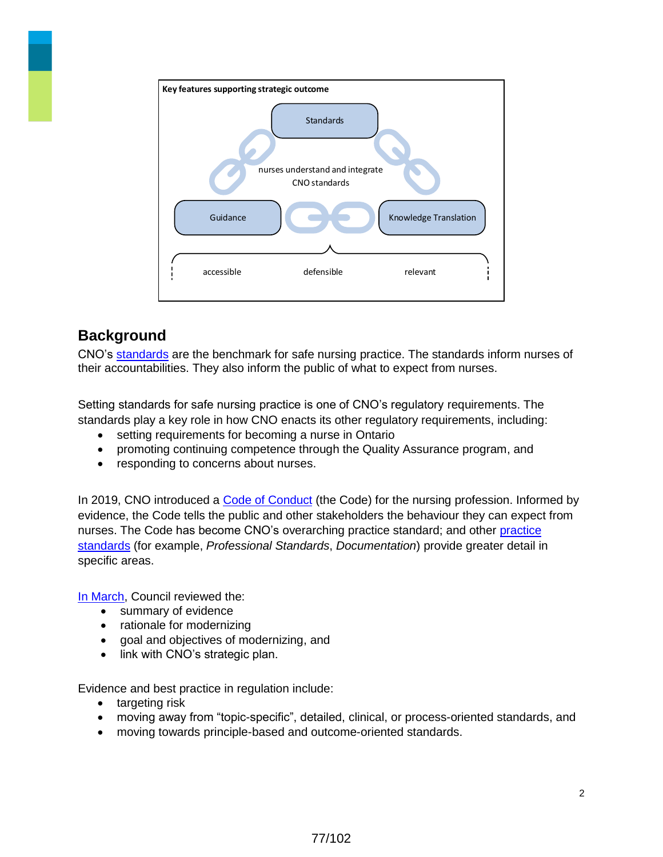

# **Background**

CNO's standards are the benchmark for safe nursing practice. The standards inform nurses of their accountabilities. They also inform the public of what to expect from nurses.

Setting standards for safe nursing practice is one of CNO's regulatory requirements. The standards play a key role in how CNO enacts its other regulatory requirements, including:

- setting requirements for becoming a nurse in Ontario
- promoting continuing competence through the Quality Assurance program, and
- responding to concerns about nurses.

In 2019, CNO introduced a Code of Conduct (the Code) for the nursing profession. Informed by evidence, the Code tells the public and other stakeholders the behaviour they can expect from nurses. The Code has become CNO's overarching practice standard; and other practice standards (for example, *Professional Standards*, *Documentation*) provide greater detail in specific areas.

In March, Council reviewed the:

- summary of evidence
- rationale for modernizing
- goal and objectives of modernizing, and
- link with CNO's strategic plan.

Evidence and best practice in regulation include:

- targeting risk
- moving away from "topic-specific", detailed, clinical, or process-oriented standards, and
- moving towards principle-based and outcome-oriented standards.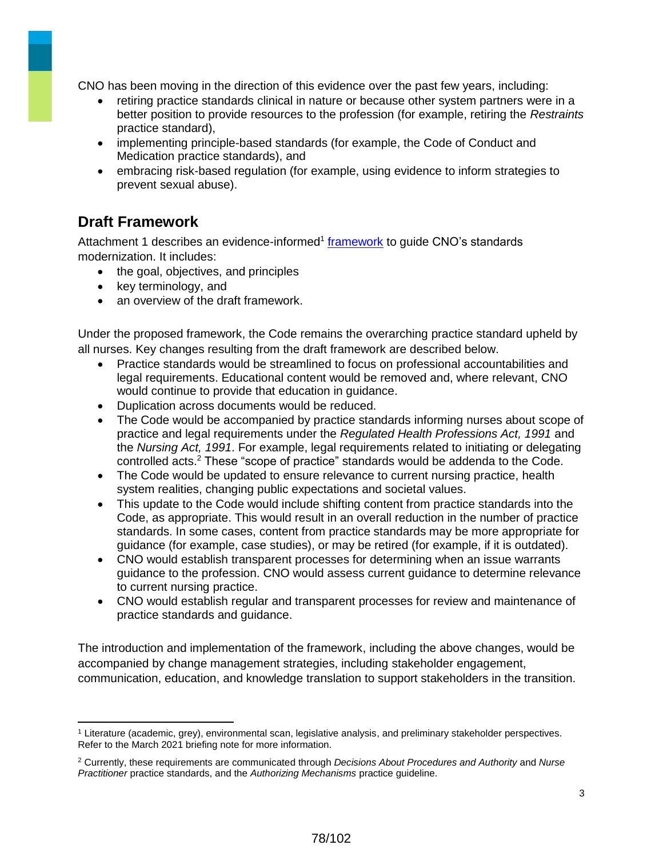CNO has been moving in the direction of this evidence over the past few years, including:

- retiring practice standards clinical in nature or because other system partners were in a better position to provide resources to the profession (for example, retiring the *Restraints*  practice standard),
- implementing principle-based standards (for example, the Code of Conduct and Medication practice standards), and
- embracing risk-based regulation (for example, using evidence to inform strategies to prevent sexual abuse).

# **Draft Framework**

 $\overline{a}$ 

Attachment 1 describes an evidence-informed<sup>1</sup> framework to guide CNO's standards modernization. It includes:

- the goal, objectives, and principles
- key terminology, and
- an overview of the draft framework.

Under the proposed framework, the Code remains the overarching practice standard upheld by all nurses. Key changes resulting from the draft framework are described below.

- Practice standards would be streamlined to focus on professional accountabilities and legal requirements. Educational content would be removed and, where relevant, CNO would continue to provide that education in guidance.
- Duplication across documents would be reduced.
- The Code would be accompanied by practice standards informing nurses about scope of practice and legal requirements under the *Regulated Health Professions Act, 1991* and the *Nursing Act, 1991*. For example, legal requirements related to initiating or delegating controlled acts.<sup>2</sup> These "scope of practice" standards would be addenda to the Code.
- The Code would be updated to ensure relevance to current nursing practice, health system realities, changing public expectations and societal values.
- This update to the Code would include shifting content from practice standards into the Code, as appropriate. This would result in an overall reduction in the number of practice standards. In some cases, content from practice standards may be more appropriate for guidance (for example, case studies), or may be retired (for example, if it is outdated).
- CNO would establish transparent processes for determining when an issue warrants guidance to the profession. CNO would assess current guidance to determine relevance to current nursing practice.
- CNO would establish regular and transparent processes for review and maintenance of practice standards and guidance.

The introduction and implementation of the framework, including the above changes, would be accompanied by change management strategies, including stakeholder engagement, communication, education, and knowledge translation to support stakeholders in the transition.

78/102

<sup>1</sup> Literature (academic, grey), environmental scan, legislative analysis, and preliminary stakeholder perspectives. Refer to the March 2021 briefing note for more information.

<sup>2</sup> Currently, these requirements are communicated through *Decisions About Procedures and Authority* and *Nurse Practitioner* practice standards, and the *Authorizing Mechanisms* practice guideline.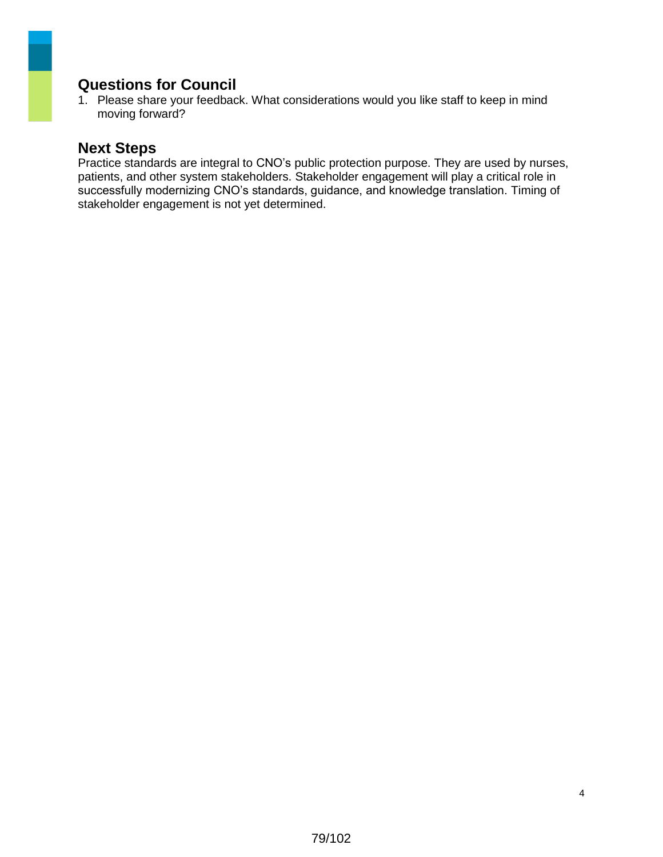### **Questions for Council**

1. Please share your feedback. What considerations would you like staff to keep in mind moving forward?

#### **Next Steps**

Practice standards are integral to CNO's public protection purpose. They are used by nurses, patients, and other system stakeholders. Stakeholder engagement will play a critical role in successfully modernizing CNO's standards, guidance, and knowledge translation. Timing of stakeholder engagement is not yet determined.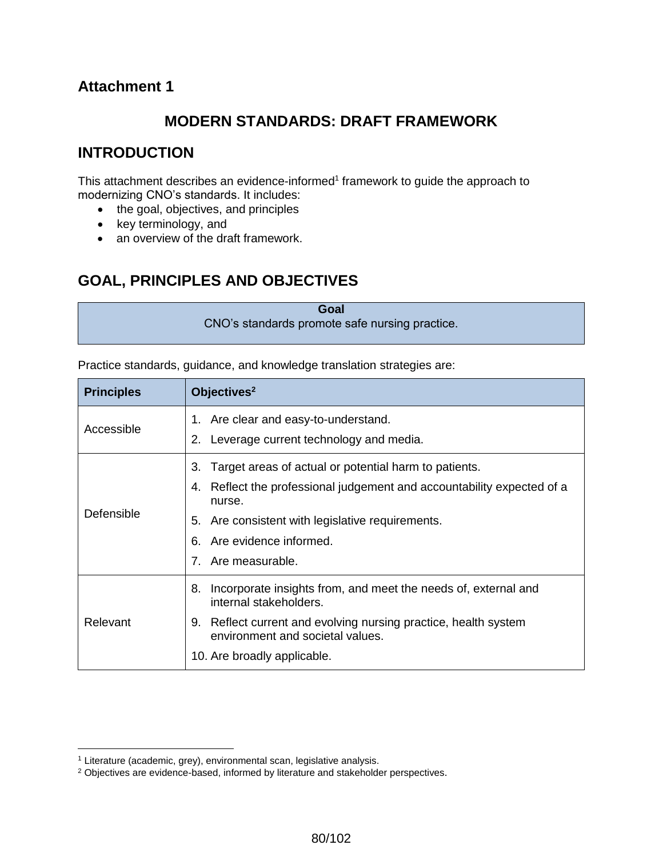### **Attachment 1**

# **MODERN STANDARDS: DRAFT FRAMEWORK**

### **INTRODUCTION**

This attachment describes an evidence-informed<sup>1</sup> framework to guide the approach to modernizing CNO's standards. It includes:

- the goal, objectives, and principles
- key terminology, and
- an overview of the draft framework.

# **GOAL, PRINCIPLES AND OBJECTIVES**

| Goal                                           |  |
|------------------------------------------------|--|
| CNO's standards promote safe nursing practice. |  |

Practice standards, guidance, and knowledge translation strategies are:

| <b>Principles</b> | Objectives <sup>2</sup>                                                                                                                                                                                                                                   |
|-------------------|-----------------------------------------------------------------------------------------------------------------------------------------------------------------------------------------------------------------------------------------------------------|
| Accessible        | 1. Are clear and easy-to-understand.<br>2. Leverage current technology and media.                                                                                                                                                                         |
| Defensible        | Target areas of actual or potential harm to patients.<br>3.<br>Reflect the professional judgement and accountability expected of a<br>4.<br>nurse.<br>5. Are consistent with legislative requirements.<br>6. Are evidence informed.<br>7. Are measurable. |
| Relevant          | Incorporate insights from, and meet the needs of, external and<br>8.<br>internal stakeholders.<br>9. Reflect current and evolving nursing practice, health system<br>environment and societal values.<br>10. Are broadly applicable.                      |

 $\overline{a}$ <sup>1</sup> Literature (academic, grey), environmental scan, legislative analysis.

<sup>&</sup>lt;sup>2</sup> Objectives are evidence-based, informed by literature and stakeholder perspectives.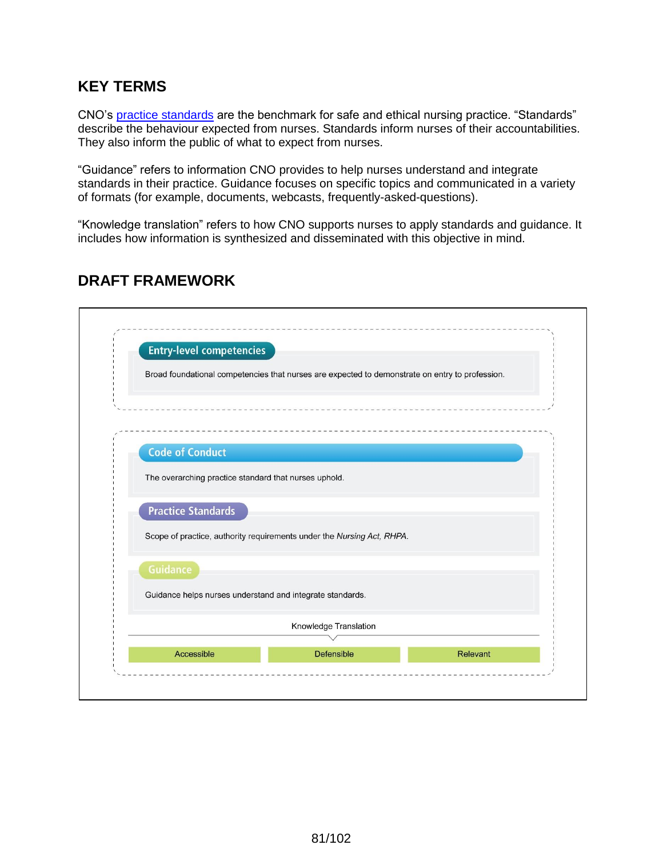# **KEY TERMS**

CNO's practice standards are the benchmark for safe and ethical nursing practice. "Standards" describe the behaviour expected from nurses. Standards inform nurses of their accountabilities. They also inform the public of what to expect from nurses.

"Guidance" refers to information CNO provides to help nurses understand and integrate standards in their practice. Guidance focuses on specific topics and communicated in a variety of formats (for example, documents, webcasts, frequently-asked-questions).

"Knowledge translation" refers to how CNO supports nurses to apply standards and guidance. It includes how information is synthesized and disseminated with this objective in mind.

| <b>Entry-level competencies</b>                           |                                                                                                 |                 |
|-----------------------------------------------------------|-------------------------------------------------------------------------------------------------|-----------------|
|                                                           | Broad foundational competencies that nurses are expected to demonstrate on entry to profession. |                 |
|                                                           |                                                                                                 |                 |
| <b>Code of Conduct</b>                                    |                                                                                                 |                 |
| The overarching practice standard that nurses uphold.     |                                                                                                 |                 |
| <b>Practice Standards</b>                                 |                                                                                                 |                 |
|                                                           | Scope of practice, authority requirements under the Nursing Act, RHPA.                          |                 |
| <b>Guidance</b>                                           |                                                                                                 |                 |
| Guidance helps nurses understand and integrate standards. |                                                                                                 |                 |
|                                                           | Knowledge Translation                                                                           |                 |
| Accessible                                                | Defensible                                                                                      | <b>Relevant</b> |

# **DRAFT FRAMEWORK**